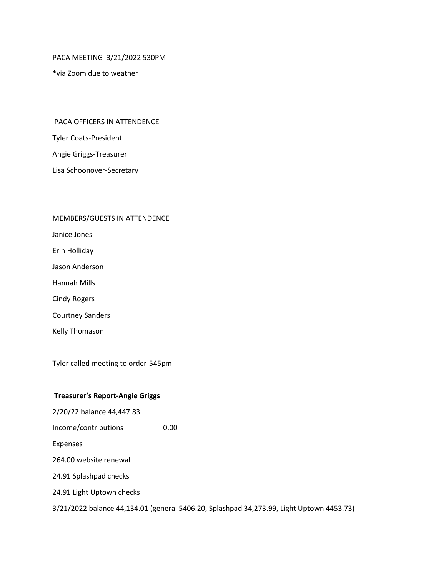PACA MEETING 3/21/2022 530PM

\*via Zoom due to weather

#### PACA OFFICERS IN ATTENDENCE

Tyler Coats-President

Angie Griggs-Treasurer

Lisa Schoonover-Secretary

#### MEMBERS/GUESTS IN ATTENDENCE

Janice Jones

Erin Holliday

Jason Anderson

Hannah Mills

Cindy Rogers

Courtney Sanders

Kelly Thomason

Tyler called meeting to order-545pm

#### **Treasurer's Report-Angie Griggs**

2/20/22 balance 44,447.83 Income/contributions 0.00 Expenses 264.00 website renewal 24.91 Splashpad checks 24.91 Light Uptown checks 3/21/2022 balance 44,134.01 (general 5406.20, Splashpad 34,273.99, Light Uptown 4453.73)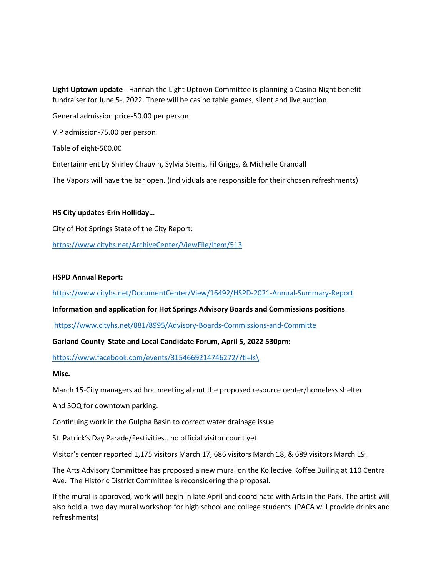**Light Uptown update** - Hannah the Light Uptown Committee is planning a Casino Night benefit fundraiser for June 5-, 2022. There will be casino table games, silent and live auction.

General admission price-50.00 per person

VIP admission-75.00 per person

Table of eight-500.00

Entertainment by Shirley Chauvin, Sylvia Stems, Fil Griggs, & Michelle Crandall

The Vapors will have the bar open. (Individuals are responsible for their chosen refreshments)

# **HS City updates-Erin Holliday…**

City of Hot Springs State of the City Report:

<https://www.cityhs.net/ArchiveCenter/ViewFile/Item/513>

# **HSPD Annual Report:**

<https://www.cityhs.net/DocumentCenter/View/16492/HSPD-2021-Annual-Summary-Report>

# **Information and application for Hot Springs Advisory Boards and Commissions positions**:

<https://www.cityhs.net/881/8995/Advisory-Boards-Commissions-and-Committe>

# **Garland County State and Local Candidate Forum, April 5, 2022 530pm:**

[https://www.facebook.com/events/3154669214746272/?ti=ls\](https://www.facebook.com/events/3154669214746272/?ti=ls/)

# **Misc.**

March 15-City managers ad hoc meeting about the proposed resource center/homeless shelter

And SOQ for downtown parking.

Continuing work in the Gulpha Basin to correct water drainage issue

St. Patrick's Day Parade/Festivities.. no official visitor count yet.

Visitor's center reported 1,175 visitors March 17, 686 visitors March 18, & 689 visitors March 19.

The Arts Advisory Committee has proposed a new mural on the Kollective Koffee Builing at 110 Central Ave. The Historic District Committee is reconsidering the proposal.

If the mural is approved, work will begin in late April and coordinate with Arts in the Park. The artist will also hold a two day mural workshop for high school and college students (PACA will provide drinks and refreshments)